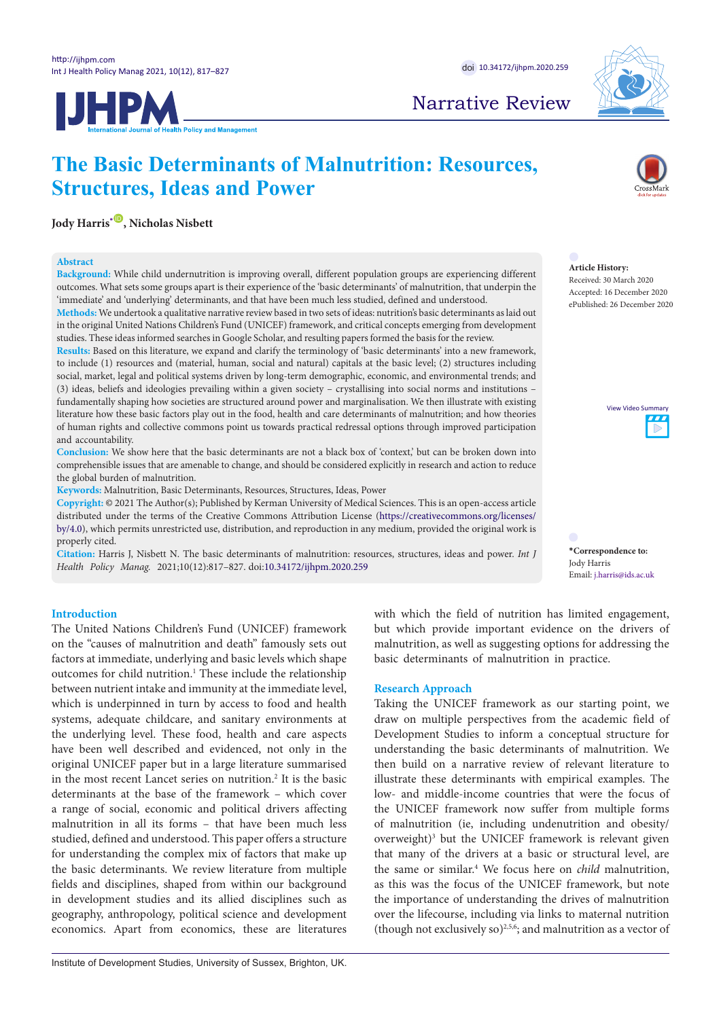



## Narrative Review

# **The Basic Determinants of Malnutrition: Resources, Structures, Ideas and Power**

**Jody Harris<sup>[\\*](#page-0-0)</sup>®, Nicholas Nisbett** 

### **Abstract**

Background: While child undernutrition is improving overall, different population groups are experiencing different outcomes. What sets some groups apart is their experience of the 'basic determinants' of malnutrition, that underpin the 'immediate' and 'underlying' determinants, and that have been much less studied, defined and understood.

**Methods:** We undertook a qualitative narrative review based in two sets of ideas: nutrition's basic determinants as laid out in the original United Nations Children's Fund (UNICEF) framework, and critical concepts emerging from development studies. These ideas informed searches in Google Scholar, and resulting papers formed the basis for the review. **Abstract** Incursation article, Gorichan and resulting papers formed the basis for the review. **Abstract** med searches in Google Scholar, and resulting papers formed the basis for the review.

Results: Based on this literature, we expand and clarify the terminology of 'basic determinants' into a new framework, to include (1) resources and (material, human, social and natural) capitals at the basic level; (2) structures including social, market, legal and political systems driven by long-term demographic, economic, and environmental trends; and (3) ideas, beliefs and ideologies prevailing within a given society - crystallising into social norms and institutions fundamentally shaping how societies are structured around power and marginalisation. We then illustrate with existing literature how these basic factors play out in the food, health and care determinants of malnutrition; and how theories of human rights and collective commons point us towards practical redressal options through improved participation and accountability. mobilization based on such an articulation. underline the opportunity for political changes, through political articulation of an issue, and collective

Conclusion: We show here that the basic determinants are not a black box of 'context,' but can be broken down into comprehensible issues that are amenable to change, and should be considered explicitly in research and action to reduce the global burden of malnutrition. of and political the norms, politics and product of global health. "*Interest and action* to receive conflict that the black decentricalities are not a black box of concerns, but can be block about 1 of researching the norms, politics and power of global health." *Int J Health Policy Manag.* 2016;5(2):117–

**Keywords:** Malnutrition, Basic Determinants, Resources, Structures, Ideas, Power

**Copyright:** © 2021 The Author(s); Published by Kerman University of Medical Sciences. This is an open-access article distributed under the terms of the Creative Commons Attribution License [\(https://creativecommons.org/licenses/](https://creativecommons.org/licenses/by/4.0)<br>by/4.0), which permits unrestricted use, distribution, and reproduction in any medium, provided the original wo [by/4.0\)](https://creativecommons.org/licenses/by/4.0), which permits unrestricted use, distribution, and reproduction in any medium, provided the original work is properly cited. terr<br>uni<br>sbett restricted use, distribution, and reproduction in any medium, provided the original work is That is what will try to do here, by introducing and the second state  $\mathcal{L}_\mathcal{A}$ 

**Citation:** Harris J, Nisbett N. The basic determinants of malnutrition: resources, structures, ideas and power. *Int J*  Health Policy Manag. 2021;10(12):817-827. doi[:10.34172/ijhpm.2020.259](https://doi.org/10.34172/ijhpm.2020.259) bett N. The basic determinants of malnutrition: resources, structures, ideas and power. *Int J* Correspondence to: us from the "false" Ooms also wants to escape. The "false" Ooms also wants to escape. The "false wants to escape



#### **Article History:** Received: 30 March 2020 Accepted: 16 December 2020 ePublished: 26 December 2020 **Comment on "Navigating Between Stealth Advocacy and Unconscious Dogmatism: The Comment on "Navigating Between Stealth Advocacy and Unconscious Dogmatism: The**

<span id="page-0-0"></span>

 $\frac{1}{2}$  is the set of nower *Int I* \* Correspondence to: Jody Harris Email: j.harris@ids.ac.uk us from the "false dilemma" Ooms also wants to escape.  $\blacksquare$ Although constructivists have emphasized how underlying have emphasized how underlying have experienced how underlying the second how underlying the second how underlying the second how underlying the second how unde "Although constructivists have emphasized how underlying have emphasized how underlying have emphasized how underlying  $\mu$ 

#### **Introduction**

The United Nations Children's Fund (UNICEF) framework but v on the "causes of malnutrition and death" famously sets out maln Factors at immediate, underlying and basic levels which shape basic nucleos at immediate, underlying and basic levels which shape<br>outcomes for child nutrition.<sup>1</sup> These include the relationship between nutrient intake and immunity at the immediate level, Rese which is underpinned in turn by access to food and health Takin systems, adequate childcare, and sanitary environments at draw the underlying level. These food, health and care aspects Devel have been well described and evidenced, not only in the sunde: original UNICEF paper but in a large literature summarised then in the most recent Lancet series on nutrition.<sup>2</sup> It is the basic illusting the most recent Lancet series on nutrition.<sup>2</sup> It is the basic determinants at the base of the framework – which cover lowa range of social, economic and political drivers affecting the U malnutrition in all its forms - that have been much less of m studied, defined and understood. This paper offers a structure overv for understanding the complex mix of factors that make up that i the basic determinants. We review literature from multiple fields and disciplines, shaped from within our background as this was the in development studies and its allied disciplines such as geography, anthropology, political science and development economics. Apart from economics, these are literatures iutrition.<sup>1</sup> These include the relationship t. These food, health and care aspects in Deve.  $\alpha$  view of  $\alpha$  is evaluated the constitution of  $\alpha$  is the constitution of  $\alpha$  is the constitution of  $\alpha$  is the constitution of  $\alpha$  is the constitution of  $\alpha$  is the constant of  $\alpha$  is the constant of  $\alpha$  is th ne complex linx of factors that make , underlying and basic levels which shape  $\theta$  basic  $\frac{1}{2}$  and samaly chynomicins at a view concept of political contribution. It is the basic the must base of the framework – which cover low- $\frac{d}{dx}$  and  $\frac{d}{dx}$  is  $\frac{d}{dx}$  and  $\frac{d}{dx}$  the discussion of  $\frac{d}{dx}$ ne complex mix of factors that make

with which the field of nutrition has limited engagement, but which provide important evidence on the drivers of malnutrition, as well as suggesting options for addressing the basic determinants of malnutrition in practice. policy, and (3) a lack of willingness among scholars to colearly state the their normative premises and assumptions. The state  $\mathbf{w}$ with which the field of nutrition has limited engagement, the product of the product on the product. ch the field of nutrition has limited engagement, and her response of the response is the conception of the conception of the conception of the conception of the conception of the conception of the conception of the conception of the conception of the conception of the co  $t$  finitiality of maintention in practice.

## **Research Approach**

Taking the UNICEF framework as our starting point, we draw on multiple perspectives from the academic field of and on manape perspectives from the deducing field of Development Studies to inform a conceptual structure for understanding the basic determinants of malnutrition. We then build on a narrative review of relevant literature to illustrate these determinants with empirical examples. The how- and middle-income countries that were the focus of the UNICEF framework now suffer from multiple forms the UNICEF framework now suffer from multiple forms<br>of malnutrition (ie, including undenutrition and obesity/ overweight)<sup>3</sup> but the UNICEF framework is relevant given that many of the drivers at a basic or structural level, are the same or similar.<sup>4</sup> We focus here on *child* malnutrition, as this was the focus of the UNICEF framework, but note the importance of understanding the drives of malnutrition over the lifecourse, including via links to maternal nutrition (though not exclusively so) $^{2,5,6}$ ; and malnutrition as a vector of ient Studies to inform a conceptual structure for mique-income countries that were the focus of  $\epsilon$  up  $\epsilon$  matrix mumple perspectives from the academic field of these determinants with empirical examples. The middle-income countries that were the focus of of the case of  $\frac{1}{2}$  international and spending international aid spending international and spending international and spending international and speeding international and speeding international and speeding internat y of the drivers at a basic or structural level, are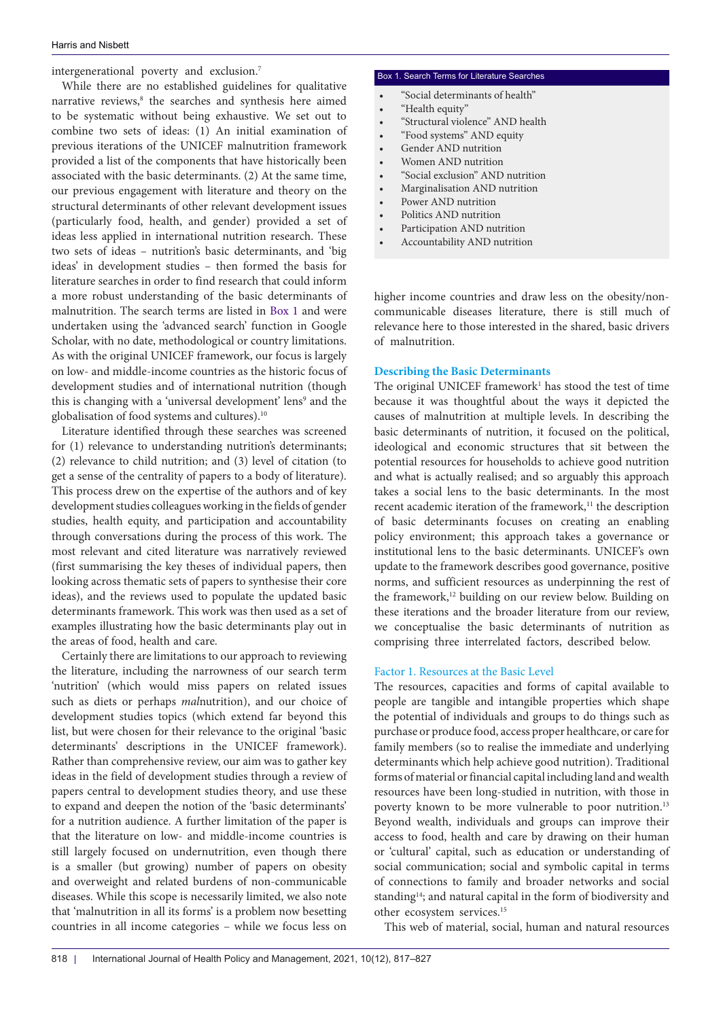intergenerational poverty and exclusion.7

While there are no established guidelines for qualitative narrative reviews,<sup>8</sup> the searches and synthesis here aimed to be systematic without being exhaustive. We set out to combine two sets of ideas: (1) An initial examination of previous iterations of the UNICEF malnutrition framework provided a list of the components that have historically been associated with the basic determinants. (2) At the same time, our previous engagement with literature and theory on the structural determinants of other relevant development issues (particularly food, health, and gender) provided a set of ideas less applied in international nutrition research. These two sets of ideas – nutrition's basic determinants, and 'big ideas' in development studies – then formed the basis for literature searches in order to find research that could inform a more robust understanding of the basic determinants of malnutrition. The search terms are listed in [Box 1](#page-1-0) and were undertaken using the 'advanced search' function in Google Scholar, with no date, methodological or country limitations. As with the original UNICEF framework, our focus is largely on low- and middle-income countries as the historic focus of development studies and of international nutrition (though this is changing with a 'universal development' lens<sup>9</sup> and the globalisation of food systems and cultures).10

Literature identified through these searches was screened for (1) relevance to understanding nutrition's determinants; (2) relevance to child nutrition; and (3) level of citation (to get a sense of the centrality of papers to a body of literature). This process drew on the expertise of the authors and of key development studies colleagues working in the fields of gender studies, health equity, and participation and accountability through conversations during the process of this work. The most relevant and cited literature was narratively reviewed (first summarising the key theses of individual papers, then looking across thematic sets of papers to synthesise their core ideas), and the reviews used to populate the updated basic determinants framework. This work was then used as a set of examples illustrating how the basic determinants play out in the areas of food, health and care.

Certainly there are limitations to our approach to reviewing the literature, including the narrowness of our search term 'nutrition' (which would miss papers on related issues such as diets or perhaps *mal*nutrition), and our choice of development studies topics (which extend far beyond this list, but were chosen for their relevance to the original 'basic determinants' descriptions in the UNICEF framework). Rather than comprehensive review, our aim was to gather key ideas in the field of development studies through a review of papers central to development studies theory, and use these to expand and deepen the notion of the 'basic determinants' for a nutrition audience. A further limitation of the paper is that the literature on low- and middle-income countries is still largely focused on undernutrition, even though there is a smaller (but growing) number of papers on obesity and overweight and related burdens of non-communicable diseases. While this scope is necessarily limited, we also note that 'malnutrition in all its forms' is a problem now besetting countries in all income categories – while we focus less on

#### <span id="page-1-0"></span>Box 1. Search Terms for Literature Searches

- "Social determinants of health"
- "Health equity"
- "Structural violence" AND health
- "Food systems" AND equity
- Gender AND nutrition
- Women AND nutrition
- "Social exclusion" AND nutrition
- Marginalisation AND nutrition
- Power AND nutrition
- Politics AND nutrition
- Participation AND nutrition
- Accountability AND nutrition

higher income countries and draw less on the obesity/noncommunicable diseases literature, there is still much of relevance here to those interested in the shared, basic drivers of malnutrition.

## **Describing the Basic Determinants**

The original UNICEF framework<sup>1</sup> has stood the test of time because it was thoughtful about the ways it depicted the causes of malnutrition at multiple levels. In describing the basic determinants of nutrition, it focused on the political, ideological and economic structures that sit between the potential resources for households to achieve good nutrition and what is actually realised; and so arguably this approach takes a social lens to the basic determinants. In the most recent academic iteration of the framework,<sup>11</sup> the description of basic determinants focuses on creating an enabling policy environment; this approach takes a governance or institutional lens to the basic determinants. UNICEF's own update to the framework describes good governance, positive norms, and sufficient resources as underpinning the rest of the framework,<sup>12</sup> building on our review below. Building on these iterations and the broader literature from our review, we conceptualise the basic determinants of nutrition as comprising three interrelated factors, described below.

#### Factor 1. Resources at the Basic Level

The resources, capacities and forms of capital available to people are tangible and intangible properties which shape the potential of individuals and groups to do things such as purchase or produce food, access proper healthcare, or care for family members (so to realise the immediate and underlying determinants which help achieve good nutrition). Traditional forms of material or financial capital including land and wealth resources have been long-studied in nutrition, with those in poverty known to be more vulnerable to poor nutrition.<sup>13</sup> Beyond wealth, individuals and groups can improve their access to food, health and care by drawing on their human or 'cultural' capital, such as education or understanding of social communication; social and symbolic capital in terms of connections to family and broader networks and social standing<sup>14</sup>; and natural capital in the form of biodiversity and other ecosystem services.15

This web of material, social, human and natural resources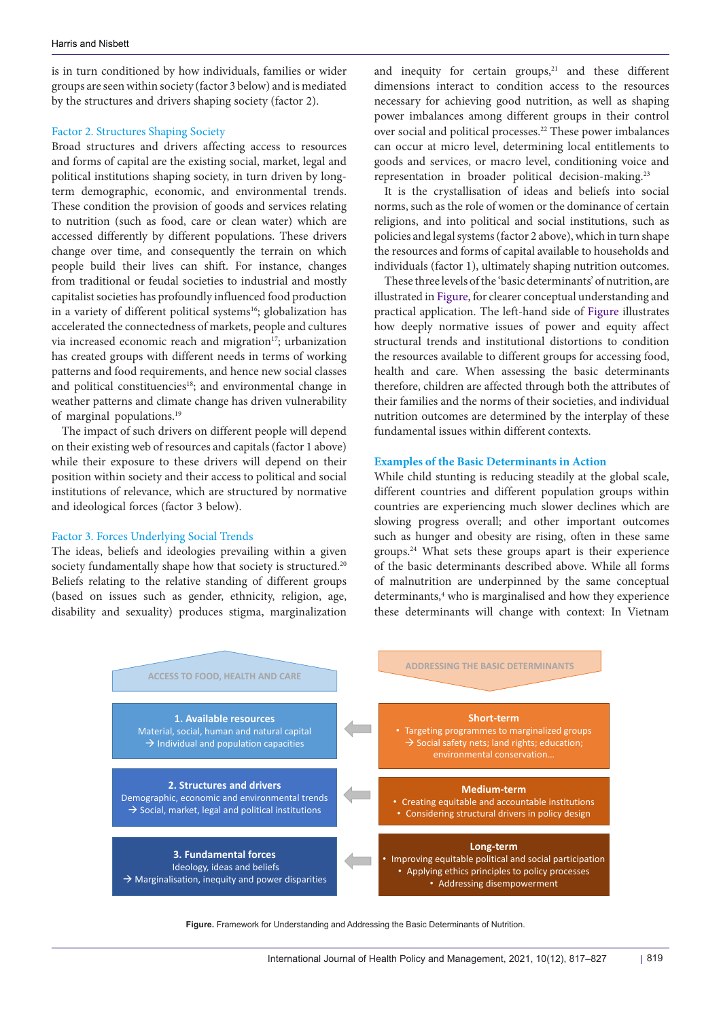is in turn conditioned by how individuals, families or wider groups are seen within society (factor 3 below) and is mediated by the structures and drivers shaping society (factor 2).

#### Factor 2. Structures Shaping Society

Broad structures and drivers affecting access to resources and forms of capital are the existing social, market, legal and political institutions shaping society, in turn driven by longterm demographic, economic, and environmental trends. These condition the provision of goods and services relating to nutrition (such as food, care or clean water) which are accessed differently by different populations. These drivers change over time, and consequently the terrain on which people build their lives can shift. For instance, changes from traditional or feudal societies to industrial and mostly capitalist societies has profoundly influenced food production in a variety of different political systems<sup>16</sup>; globalization has accelerated the connectedness of markets, people and cultures via increased economic reach and migration<sup>17</sup>; urbanization has created groups with different needs in terms of working patterns and food requirements, and hence new social classes and political constituencies<sup>18</sup>; and environmental change in weather patterns and climate change has driven vulnerability of marginal populations.19

The impact of such drivers on different people will depend on their existing web of resources and capitals (factor 1 above) while their exposure to these drivers will depend on their position within society and their access to political and social institutions of relevance, which are structured by normative and ideological forces (factor 3 below).

## Factor 3. Forces Underlying Social Trends

The ideas, beliefs and ideologies prevailing within a given society fundamentally shape how that society is structured.<sup>20</sup> Beliefs relating to the relative standing of different groups (based on issues such as gender, ethnicity, religion, age, disability and sexuality) produces stigma, marginalization and inequity for certain groups, $21$  and these different dimensions interact to condition access to the resources necessary for achieving good nutrition, as well as shaping power imbalances among different groups in their control over social and political processes.<sup>22</sup> These power imbalances can occur at micro level, determining local entitlements to goods and services, or macro level, conditioning voice and representation in broader political decision-making.<sup>23</sup>

It is the crystallisation of ideas and beliefs into social norms, such as the role of women or the dominance of certain religions, and into political and social institutions, such as policies and legal systems (factor 2 above), which in turn shape the resources and forms of capital available to households and individuals (factor 1), ultimately shaping nutrition outcomes.

These three levels of the 'basic determinants' of nutrition, are illustrated in [Figure,](#page-2-0) for clearer conceptual understanding and practical application. The left-hand side of [Figure](#page-2-0) illustrates how deeply normative issues of power and equity affect structural trends and institutional distortions to condition the resources available to different groups for accessing food, health and care. When assessing the basic determinants therefore, children are affected through both the attributes of their families and the norms of their societies, and individual nutrition outcomes are determined by the interplay of these fundamental issues within different contexts.

#### **Examples of the Basic Determinants in Action**

<span id="page-2-0"></span>While child stunting is reducing steadily at the global scale, different countries and different population groups within countries are experiencing much slower declines which are slowing progress overall; and other important outcomes such as hunger and obesity are rising, often in these same groups.24 What sets these groups apart is their experience of the basic determinants described above. While all forms of malnutrition are underpinned by the same conceptual determinants,<sup>4</sup> who is marginalised and how they experience these determinants will change with context: In Vietnam



**Figure.** Framework for Understanding and Addressing the Basic Determinants of Nutrition.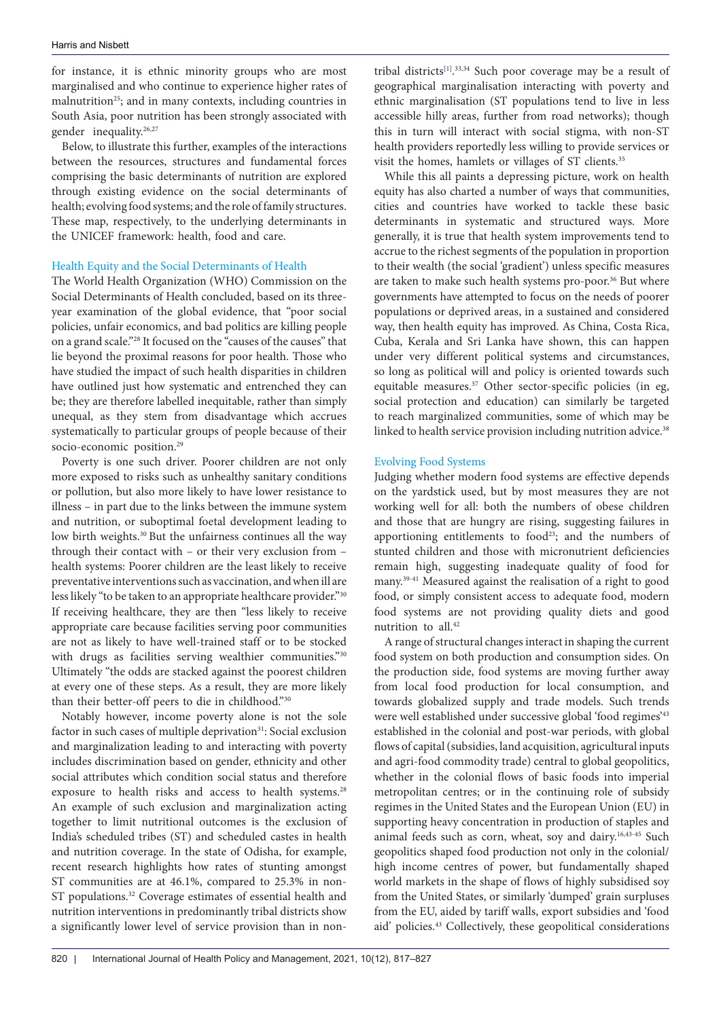for instance, it is ethnic minority groups who are most marginalised and who continue to experience higher rates of malnutrition<sup>25</sup>; and in many contexts, including countries in South Asia, poor nutrition has been strongly associated with gender inequality.<sup>26,27</sup>

Below, to illustrate this further, examples of the interactions between the resources, structures and fundamental forces comprising the basic determinants of nutrition are explored through existing evidence on the social determinants of health; evolving food systems; and the role of family structures. These map, respectively, to the underlying determinants in the UNICEF framework: health, food and care.

## Health Equity and the Social Determinants of Health

The World Health Organization (WHO) Commission on the Social Determinants of Health concluded, based on its threeyear examination of the global evidence, that "poor social policies, unfair economics, and bad politics are killing people on a grand scale."28 It focused on the "causes of the causes" that lie beyond the proximal reasons for poor health. Those who have studied the impact of such health disparities in children have outlined just how systematic and entrenched they can be; they are therefore labelled inequitable, rather than simply unequal, as they stem from disadvantage which accrues systematically to particular groups of people because of their socio-economic position.<sup>29</sup>

Poverty is one such driver. Poorer children are not only more exposed to risks such as unhealthy sanitary conditions or pollution, but also more likely to have lower resistance to illness – in part due to the links between the immune system and nutrition, or suboptimal foetal development leading to low birth weights.<sup>30</sup> But the unfairness continues all the way through their contact with – or their very exclusion from – health systems: Poorer children are the least likely to receive preventative interventions such as vaccination, and when ill are less likely "to be taken to an appropriate healthcare provider."30 If receiving healthcare, they are then "less likely to receive appropriate care because facilities serving poor communities are not as likely to have well-trained staff or to be stocked with drugs as facilities serving wealthier communities."30 Ultimately "the odds are stacked against the poorest children at every one of these steps. As a result, they are more likely than their better-off peers to die in childhood."30

Notably however, income poverty alone is not the sole factor in such cases of multiple deprivation<sup>31</sup>: Social exclusion and marginalization leading to and interacting with poverty includes discrimination based on gender, ethnicity and other social attributes which condition social status and therefore exposure to health risks and access to health systems.<sup>28</sup> An example of such exclusion and marginalization acting together to limit nutritional outcomes is the exclusion of India's scheduled tribes (ST) and scheduled castes in health and nutrition coverage. In the state of Odisha, for example, recent research highlights how rates of stunting amongst ST communities are at 46.1%, compared to 25.3% in non-ST populations.<sup>32</sup> Coverage estimates of essential health and nutrition interventions in predominantly tribal districts show a significantly lower level of service provision than in nontribal districts<sup>[1]</sup>.<sup>33,34</sup> Such poor coverage may be a result of geographical marginalisation interacting with poverty and ethnic marginalisation (ST populations tend to live in less accessible hilly areas, further from road networks); though this in turn will interact with social stigma, with non-ST health providers reportedly less willing to provide services or visit the homes, hamlets or villages of ST clients.<sup>35</sup>

While this all paints a depressing picture, work on health equity has also charted a number of ways that communities, cities and countries have worked to tackle these basic determinants in systematic and structured ways. More generally, it is true that health system improvements tend to accrue to the richest segments of the population in proportion to their wealth (the social 'gradient') unless specific measures are taken to make such health systems pro-poor.<sup>36</sup> But where governments have attempted to focus on the needs of poorer populations or deprived areas, in a sustained and considered way, then health equity has improved. As China, Costa Rica, Cuba, Kerala and Sri Lanka have shown, this can happen under very different political systems and circumstances, so long as political will and policy is oriented towards such equitable measures.<sup>37</sup> Other sector-specific policies (in eg, social protection and education) can similarly be targeted to reach marginalized communities, some of which may be linked to health service provision including nutrition advice.<sup>38</sup>

#### Evolving Food Systems

Judging whether modern food systems are effective depends on the yardstick used, but by most measures they are not working well for all: both the numbers of obese children and those that are hungry are rising, suggesting failures in apportioning entitlements to food<sup>23</sup>; and the numbers of stunted children and those with micronutrient deficiencies remain high, suggesting inadequate quality of food for many.39-41 Measured against the realisation of a right to good food, or simply consistent access to adequate food, modern food systems are not providing quality diets and good nutrition to all.<sup>42</sup>

A range of structural changes interact in shaping the current food system on both production and consumption sides. On the production side, food systems are moving further away from local food production for local consumption, and towards globalized supply and trade models. Such trends were well established under successive global 'food regimes'43 established in the colonial and post-war periods, with global flows of capital (subsidies, land acquisition, agricultural inputs and agri-food commodity trade) central to global geopolitics, whether in the colonial flows of basic foods into imperial metropolitan centres; or in the continuing role of subsidy regimes in the United States and the European Union (EU) in supporting heavy concentration in production of staples and animal feeds such as corn, wheat, soy and dairy.<sup>16,43-45</sup> Such geopolitics shaped food production not only in the colonial/ high income centres of power, but fundamentally shaped world markets in the shape of flows of highly subsidised soy from the United States, or similarly 'dumped' grain surpluses from the EU, aided by tariff walls, export subsidies and 'food aid' policies.43 Collectively, these geopolitical considerations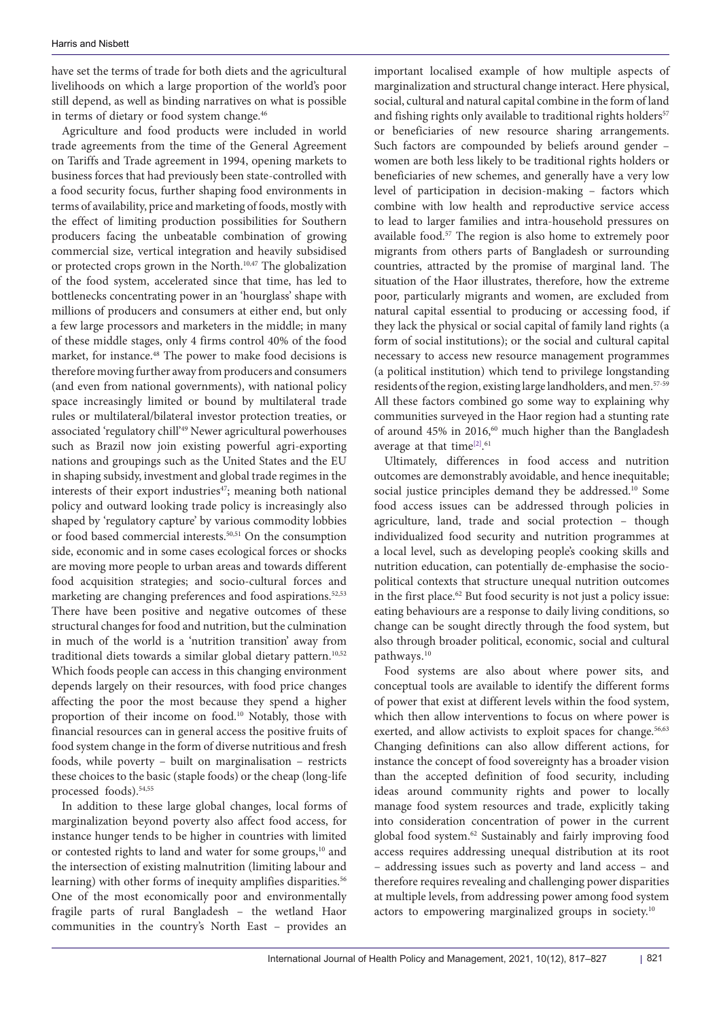have set the terms of trade for both diets and the agricultural livelihoods on which a large proportion of the world's poor still depend, as well as binding narratives on what is possible in terms of dietary or food system change.<sup>46</sup>

Agriculture and food products were included in world trade agreements from the time of the General Agreement on Tariffs and Trade agreement in 1994, opening markets to business forces that had previously been state-controlled with a food security focus, further shaping food environments in terms of availability, price and marketing of foods, mostly with the effect of limiting production possibilities for Southern producers facing the unbeatable combination of growing commercial size, vertical integration and heavily subsidised or protected crops grown in the North.10,47 The globalization of the food system, accelerated since that time, has led to bottlenecks concentrating power in an 'hourglass' shape with millions of producers and consumers at either end, but only a few large processors and marketers in the middle; in many of these middle stages, only 4 firms control 40% of the food market, for instance.48 The power to make food decisions is therefore moving further away from producers and consumers (and even from national governments), with national policy space increasingly limited or bound by multilateral trade rules or multilateral/bilateral investor protection treaties, or associated 'regulatory chill'49 Newer agricultural powerhouses such as Brazil now join existing powerful agri-exporting nations and groupings such as the United States and the EU in shaping subsidy, investment and global trade regimes in the interests of their export industries<sup>47</sup>; meaning both national policy and outward looking trade policy is increasingly also shaped by 'regulatory capture' by various commodity lobbies or food based commercial interests.50,51 On the consumption side, economic and in some cases ecological forces or shocks are moving more people to urban areas and towards different food acquisition strategies; and socio-cultural forces and marketing are changing preferences and food aspirations.<sup>52,53</sup> There have been positive and negative outcomes of these structural changes for food and nutrition, but the culmination in much of the world is a 'nutrition transition' away from traditional diets towards a similar global dietary pattern.<sup>10,52</sup> Which foods people can access in this changing environment depends largely on their resources, with food price changes affecting the poor the most because they spend a higher proportion of their income on food.10 Notably, those with financial resources can in general access the positive fruits of food system change in the form of diverse nutritious and fresh foods, while poverty – built on marginalisation – restricts these choices to the basic (staple foods) or the cheap (long-life processed foods).54,55

In addition to these large global changes, local forms of marginalization beyond poverty also affect food access, for instance hunger tends to be higher in countries with limited or contested rights to land and water for some groups,<sup>10</sup> and the intersection of existing malnutrition (limiting labour and learning) with other forms of inequity amplifies disparities.<sup>56</sup> One of the most economically poor and environmentally fragile parts of rural Bangladesh – the wetland Haor communities in the country's North East – provides an

important localised example of how multiple aspects of marginalization and structural change interact. Here physical, social, cultural and natural capital combine in the form of land and fishing rights only available to traditional rights holders<sup>57</sup> or beneficiaries of new resource sharing arrangements. Such factors are compounded by beliefs around gender – women are both less likely to be traditional rights holders or beneficiaries of new schemes, and generally have a very low level of participation in decision-making – factors which combine with low health and reproductive service access to lead to larger families and intra-household pressures on available food.57 The region is also home to extremely poor migrants from others parts of Bangladesh or surrounding countries, attracted by the promise of marginal land. The situation of the Haor illustrates, therefore, how the extreme poor, particularly migrants and women, are excluded from natural capital essential to producing or accessing food, if they lack the physical or social capital of family land rights (a form of social institutions); or the social and cultural capital necessary to access new resource management programmes (a political institution) which tend to privilege longstanding residents of the region, existing large landholders, and men.<sup>57-59</sup> All these factors combined go some way to explaining why communities surveyed in the Haor region had a stunting rate of around  $45\%$  in 2016,<sup>60</sup> much higher than the Bangladesh average at that time<sup>[2]</sup>.<sup>61</sup>

Ultimately, differences in food access and nutrition outcomes are demonstrably avoidable, and hence inequitable; social justice principles demand they be addressed.<sup>10</sup> Some food access issues can be addressed through policies in agriculture, land, trade and social protection – though individualized food security and nutrition programmes at a local level, such as developing people's cooking skills and nutrition education, can potentially de-emphasise the sociopolitical contexts that structure unequal nutrition outcomes in the first place.<sup>62</sup> But food security is not just a policy issue: eating behaviours are a response to daily living conditions, so change can be sought directly through the food system, but also through broader political, economic, social and cultural pathways.10

Food systems are also about where power sits, and conceptual tools are available to identify the different forms of power that exist at different levels within the food system, which then allow interventions to focus on where power is exerted, and allow activists to exploit spaces for change.<sup>56,63</sup> Changing definitions can also allow different actions, for instance the concept of food sovereignty has a broader vision than the accepted definition of food security, including ideas around community rights and power to locally manage food system resources and trade, explicitly taking into consideration concentration of power in the current global food system.62 Sustainably and fairly improving food access requires addressing unequal distribution at its root – addressing issues such as poverty and land access – and therefore requires revealing and challenging power disparities at multiple levels, from addressing power among food system actors to empowering marginalized groups in society.10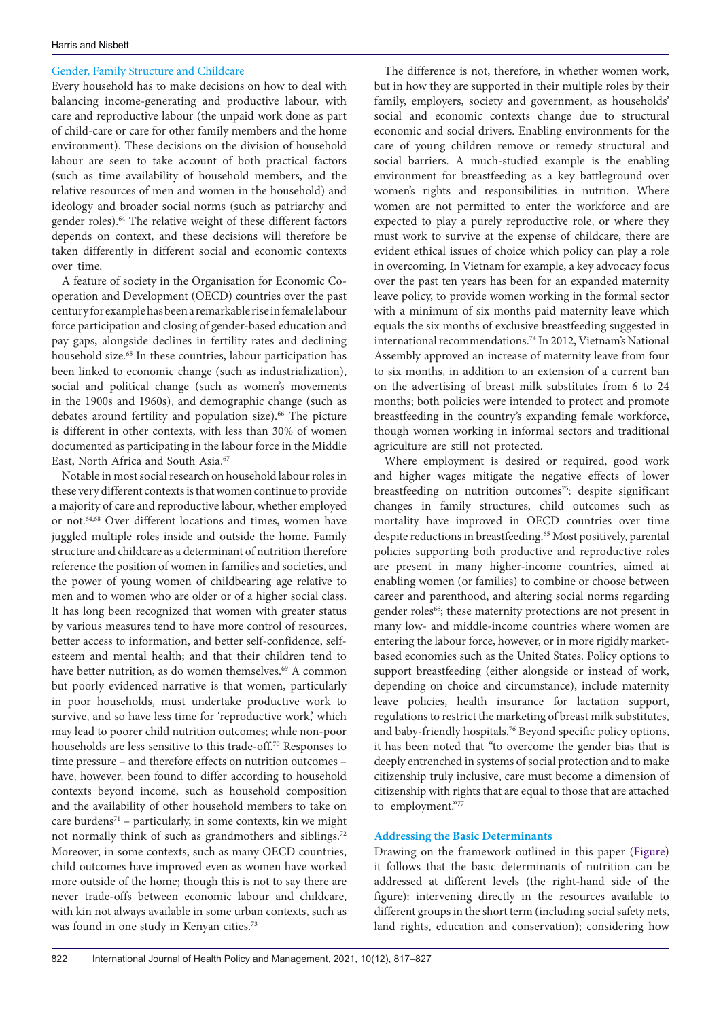## Gender, Family Structure and Childcare

Every household has to make decisions on how to deal with balancing income-generating and productive labour, with care and reproductive labour (the unpaid work done as part of child-care or care for other family members and the home environment). These decisions on the division of household labour are seen to take account of both practical factors (such as time availability of household members, and the relative resources of men and women in the household) and ideology and broader social norms (such as patriarchy and gender roles).64 The relative weight of these different factors depends on context, and these decisions will therefore be taken differently in different social and economic contexts over time.

A feature of society in the Organisation for Economic Cooperation and Development (OECD) countries over the past century for example has been a remarkable rise in female labour force participation and closing of gender-based education and pay gaps, alongside declines in fertility rates and declining household size.<sup>65</sup> In these countries, labour participation has been linked to economic change (such as industrialization), social and political change (such as women's movements in the 1900s and 1960s), and demographic change (such as debates around fertility and population size).<sup>66</sup> The picture is different in other contexts, with less than 30% of women documented as participating in the labour force in the Middle East, North Africa and South Asia.<sup>67</sup>

Notable in most social research on household labour roles in these very different contexts is that women continue to provide a majority of care and reproductive labour, whether employed or not.64,68 Over different locations and times, women have juggled multiple roles inside and outside the home. Family structure and childcare as a determinant of nutrition therefore reference the position of women in families and societies, and the power of young women of childbearing age relative to men and to women who are older or of a higher social class. It has long been recognized that women with greater status by various measures tend to have more control of resources, better access to information, and better self-confidence, selfesteem and mental health; and that their children tend to have better nutrition, as do women themselves.<sup>69</sup> A common but poorly evidenced narrative is that women, particularly in poor households, must undertake productive work to survive, and so have less time for 'reproductive work', which may lead to poorer child nutrition outcomes; while non-poor households are less sensitive to this trade-off.70 Responses to time pressure – and therefore effects on nutrition outcomes – have, however, been found to differ according to household contexts beyond income, such as household composition and the availability of other household members to take on care burdens<sup>71</sup> – particularly, in some contexts, kin we might not normally think of such as grandmothers and siblings.72 Moreover, in some contexts, such as many OECD countries, child outcomes have improved even as women have worked more outside of the home; though this is not to say there are never trade-offs between economic labour and childcare, with kin not always available in some urban contexts, such as was found in one study in Kenyan cities.<sup>73</sup>

The difference is not, therefore, in whether women work, but in how they are supported in their multiple roles by their family, employers, society and government, as households' social and economic contexts change due to structural economic and social drivers. Enabling environments for the care of young children remove or remedy structural and social barriers. A much-studied example is the enabling environment for breastfeeding as a key battleground over women's rights and responsibilities in nutrition. Where women are not permitted to enter the workforce and are expected to play a purely reproductive role, or where they must work to survive at the expense of childcare, there are evident ethical issues of choice which policy can play a role in overcoming. In Vietnam for example, a key advocacy focus over the past ten years has been for an expanded maternity leave policy, to provide women working in the formal sector with a minimum of six months paid maternity leave which equals the six months of exclusive breastfeeding suggested in international recommendations.74 In 2012, Vietnam's National Assembly approved an increase of maternity leave from four to six months, in addition to an extension of a current ban on the advertising of breast milk substitutes from 6 to 24 months; both policies were intended to protect and promote breastfeeding in the country's expanding female workforce, though women working in informal sectors and traditional agriculture are still not protected.

Where employment is desired or required, good work and higher wages mitigate the negative effects of lower breastfeeding on nutrition outcomes<sup>75</sup>: despite significant changes in family structures, child outcomes such as mortality have improved in OECD countries over time despite reductions in breastfeeding.<sup>65</sup> Most positively, parental policies supporting both productive and reproductive roles are present in many higher-income countries, aimed at enabling women (or families) to combine or choose between career and parenthood, and altering social norms regarding gender roles<sup>66</sup>; these maternity protections are not present in many low- and middle-income countries where women are entering the labour force, however, or in more rigidly marketbased economies such as the United States. Policy options to support breastfeeding (either alongside or instead of work, depending on choice and circumstance), include maternity leave policies, health insurance for lactation support, regulations to restrict the marketing of breast milk substitutes, and baby-friendly hospitals.<sup>76</sup> Beyond specific policy options, it has been noted that "to overcome the gender bias that is deeply entrenched in systems of social protection and to make citizenship truly inclusive, care must become a dimension of citizenship with rights that are equal to those that are attached to employment."77

## **Addressing the Basic Determinants**

Drawing on the framework outlined in this paper ([Figure](#page-2-0)) it follows that the basic determinants of nutrition can be addressed at different levels (the right-hand side of the figure): intervening directly in the resources available to different groups in the short term (including social safety nets, land rights, education and conservation); considering how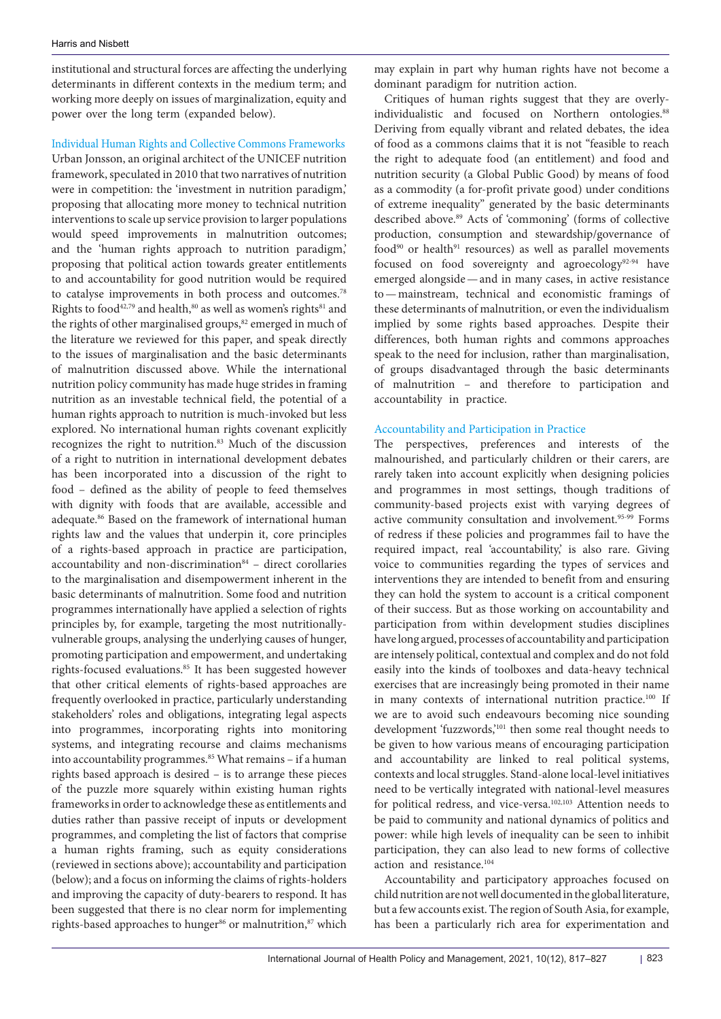institutional and structural forces are affecting the underlying determinants in different contexts in the medium term; and working more deeply on issues of marginalization, equity and power over the long term (expanded below).

## Individual Human Rights and Collective Commons Frameworks

Urban Jonsson, an original architect of the UNICEF nutrition framework, speculated in 2010 that two narratives of nutrition were in competition: the 'investment in nutrition paradigm,' proposing that allocating more money to technical nutrition interventions to scale up service provision to larger populations would speed improvements in malnutrition outcomes; and the 'human rights approach to nutrition paradigm,' proposing that political action towards greater entitlements to and accountability for good nutrition would be required to catalyse improvements in both process and outcomes.78 Rights to food<sup>42,79</sup> and health,<sup>80</sup> as well as women's rights<sup>81</sup> and the rights of other marginalised groups,<sup>82</sup> emerged in much of the literature we reviewed for this paper, and speak directly to the issues of marginalisation and the basic determinants of malnutrition discussed above. While the international nutrition policy community has made huge strides in framing nutrition as an investable technical field, the potential of a human rights approach to nutrition is much-invoked but less explored. No international human rights covenant explicitly recognizes the right to nutrition. $83$  Much of the discussion of a right to nutrition in international development debates has been incorporated into a discussion of the right to food – defined as the ability of people to feed themselves with dignity with foods that are available, accessible and adequate.86 Based on the framework of international human rights law and the values that underpin it, core principles of a rights-based approach in practice are participation, accountability and non-discrimination $84$  – direct corollaries to the marginalisation and disempowerment inherent in the basic determinants of malnutrition. Some food and nutrition programmes internationally have applied a selection of rights principles by, for example, targeting the most nutritionallyvulnerable groups, analysing the underlying causes of hunger, promoting participation and empowerment, and undertaking rights-focused evaluations.<sup>85</sup> It has been suggested however that other critical elements of rights-based approaches are frequently overlooked in practice, particularly understanding stakeholders' roles and obligations, integrating legal aspects into programmes, incorporating rights into monitoring systems, and integrating recourse and claims mechanisms into accountability programmes.<sup>85</sup> What remains - if a human rights based approach is desired – is to arrange these pieces of the puzzle more squarely within existing human rights frameworks in order to acknowledge these as entitlements and duties rather than passive receipt of inputs or development programmes, and completing the list of factors that comprise a human rights framing, such as equity considerations (reviewed in sections above); accountability and participation (below); and a focus on informing the claims of rights-holders and improving the capacity of duty-bearers to respond. It has been suggested that there is no clear norm for implementing rights-based approaches to hunger<sup>86</sup> or malnutrition,<sup>87</sup> which may explain in part why human rights have not become a dominant paradigm for nutrition action.

Critiques of human rights suggest that they are overlyindividualistic and focused on Northern ontologies.<sup>88</sup> Deriving from equally vibrant and related debates, the idea of food as a commons claims that it is not "feasible to reach the right to adequate food (an entitlement) and food and nutrition security (a Global Public Good) by means of food as a commodity (a for-profit private good) under conditions of extreme inequality" generated by the basic determinants described above.89 Acts of 'commoning' (forms of collective production, consumption and stewardship/governance of food<sup>90</sup> or health<sup>91</sup> resources) as well as parallel movements focused on food sovereignty and agroecology<sup>92-94</sup> have emerged alongside—and in many cases, in active resistance to—mainstream, technical and economistic framings of these determinants of malnutrition, or even the individualism implied by some rights based approaches. Despite their differences, both human rights and commons approaches speak to the need for inclusion, rather than marginalisation, of groups disadvantaged through the basic determinants of malnutrition – and therefore to participation and accountability in practice.

## Accountability and Participation in Practice

The perspectives, preferences and interests of the malnourished, and particularly children or their carers, are rarely taken into account explicitly when designing policies and programmes in most settings, though traditions of community-based projects exist with varying degrees of active community consultation and involvement.95-99 Forms of redress if these policies and programmes fail to have the required impact, real 'accountability,' is also rare. Giving voice to communities regarding the types of services and interventions they are intended to benefit from and ensuring they can hold the system to account is a critical component of their success. But as those working on accountability and participation from within development studies disciplines have long argued, processes of accountability and participation are intensely political, contextual and complex and do not fold easily into the kinds of toolboxes and data-heavy technical exercises that are increasingly being promoted in their name in many contexts of international nutrition practice.<sup>100</sup> If we are to avoid such endeavours becoming nice sounding development 'fuzzwords,'101 then some real thought needs to be given to how various means of encouraging participation and accountability are linked to real political systems, contexts and local struggles. Stand-alone local-level initiatives need to be vertically integrated with national-level measures for political redress, and vice-versa.<sup>102,103</sup> Attention needs to be paid to community and national dynamics of politics and power: while high levels of inequality can be seen to inhibit participation, they can also lead to new forms of collective action and resistance.104

Accountability and participatory approaches focused on child nutrition are not well documented in the global literature, but a few accounts exist. The region of South Asia, for example, has been a particularly rich area for experimentation and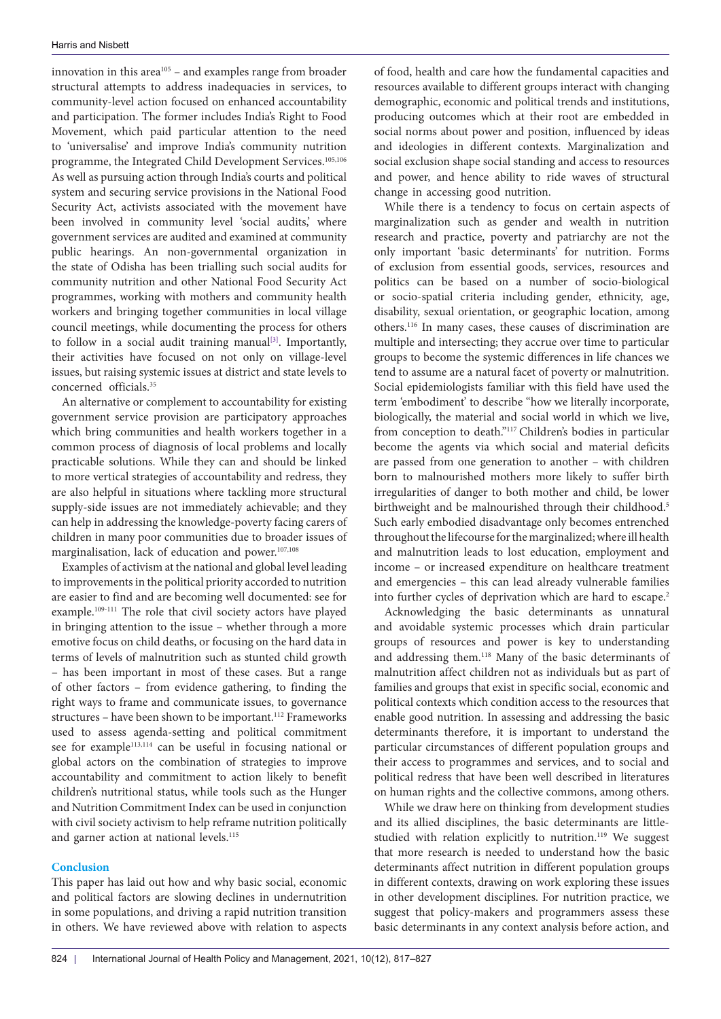innovation in this area $105$  – and examples range from broader structural attempts to address inadequacies in services, to community-level action focused on enhanced accountability and participation. The former includes India's Right to Food Movement, which paid particular attention to the need to 'universalise' and improve India's community nutrition programme, the Integrated Child Development Services.<sup>105,106</sup> As well as pursuing action through India's courts and political system and securing service provisions in the National Food Security Act, activists associated with the movement have been involved in community level 'social audits,' where government services are audited and examined at community public hearings. An non-governmental organization in the state of Odisha has been trialling such social audits for community nutrition and other National Food Security Act programmes, working with mothers and community health workers and bringing together communities in local village council meetings, while documenting the process for others to follow in a social audit training manual $[3]$ . Importantly, their activities have focused on not only on village-level issues, but raising systemic issues at district and state levels to concerned officials.35

An alternative or complement to accountability for existing government service provision are participatory approaches which bring communities and health workers together in a common process of diagnosis of local problems and locally practicable solutions. While they can and should be linked to more vertical strategies of accountability and redress, they are also helpful in situations where tackling more structural supply-side issues are not immediately achievable; and they can help in addressing the knowledge-poverty facing carers of children in many poor communities due to broader issues of marginalisation, lack of education and power.107,108

Examples of activism at the national and global level leading to improvements in the political priority accorded to nutrition are easier to find and are becoming well documented: see for example.109-111 The role that civil society actors have played in bringing attention to the issue – whether through a more emotive focus on child deaths, or focusing on the hard data in terms of levels of malnutrition such as stunted child growth – has been important in most of these cases. But a range of other factors – from evidence gathering, to finding the right ways to frame and communicate issues, to governance structures - have been shown to be important.<sup>112</sup> Frameworks used to assess agenda-setting and political commitment see for example<sup>113,114</sup> can be useful in focusing national or global actors on the combination of strategies to improve accountability and commitment to action likely to benefit children's nutritional status, while tools such as the Hunger and Nutrition Commitment Index can be used in conjunction with civil society activism to help reframe nutrition politically and garner action at national levels.<sup>115</sup>

#### **Conclusion**

This paper has laid out how and why basic social, economic and political factors are slowing declines in undernutrition in some populations, and driving a rapid nutrition transition in others. We have reviewed above with relation to aspects

of food, health and care how the fundamental capacities and resources available to different groups interact with changing demographic, economic and political trends and institutions, producing outcomes which at their root are embedded in social norms about power and position, influenced by ideas and ideologies in different contexts. Marginalization and social exclusion shape social standing and access to resources and power, and hence ability to ride waves of structural change in accessing good nutrition.

While there is a tendency to focus on certain aspects of marginalization such as gender and wealth in nutrition research and practice, poverty and patriarchy are not the only important 'basic determinants' for nutrition. Forms of exclusion from essential goods, services, resources and politics can be based on a number of socio-biological or socio-spatial criteria including gender, ethnicity, age, disability, sexual orientation, or geographic location, among others.116 In many cases, these causes of discrimination are multiple and intersecting; they accrue over time to particular groups to become the systemic differences in life chances we tend to assume are a natural facet of poverty or malnutrition. Social epidemiologists familiar with this field have used the term 'embodiment' to describe "how we literally incorporate, biologically, the material and social world in which we live, from conception to death."117 Children's bodies in particular become the agents via which social and material deficits are passed from one generation to another – with children born to malnourished mothers more likely to suffer birth irregularities of danger to both mother and child, be lower birthweight and be malnourished through their childhood.<sup>5</sup> Such early embodied disadvantage only becomes entrenched throughout the lifecourse for the marginalized; where ill health and malnutrition leads to lost education, employment and income – or increased expenditure on healthcare treatment and emergencies – this can lead already vulnerable families into further cycles of deprivation which are hard to escape.<sup>2</sup>

Acknowledging the basic determinants as unnatural and avoidable systemic processes which drain particular groups of resources and power is key to understanding and addressing them.118 Many of the basic determinants of malnutrition affect children not as individuals but as part of families and groups that exist in specific social, economic and political contexts which condition access to the resources that enable good nutrition. In assessing and addressing the basic determinants therefore, it is important to understand the particular circumstances of different population groups and their access to programmes and services, and to social and political redress that have been well described in literatures on human rights and the collective commons, among others.

While we draw here on thinking from development studies and its allied disciplines, the basic determinants are littlestudied with relation explicitly to nutrition.<sup>119</sup> We suggest that more research is needed to understand how the basic determinants affect nutrition in different population groups in different contexts, drawing on work exploring these issues in other development disciplines. For nutrition practice, we suggest that policy-makers and programmers assess these basic determinants in any context analysis before action, and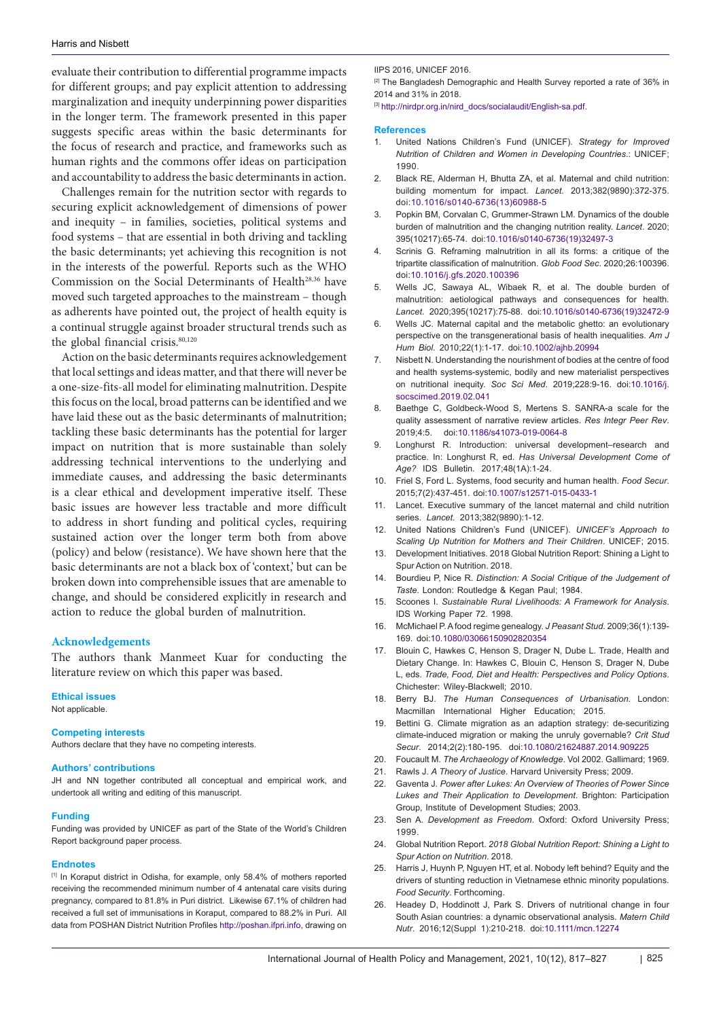evaluate their contribution to differential programme impacts for different groups; and pay explicit attention to addressing marginalization and inequity underpinning power disparities in the longer term. The framework presented in this paper suggests specific areas within the basic determinants for the focus of research and practice, and frameworks such as human rights and the commons offer ideas on participation and accountability to address the basic determinants in action.

Challenges remain for the nutrition sector with regards to securing explicit acknowledgement of dimensions of power and inequity – in families, societies, political systems and food systems – that are essential in both driving and tackling the basic determinants; yet achieving this recognition is not in the interests of the powerful. Reports such as the WHO Commission on the Social Determinants of Health<sup>28,36</sup> have moved such targeted approaches to the mainstream – though as adherents have pointed out, the project of health equity is a continual struggle against broader structural trends such as the global financial crisis.<sup>80,120</sup>

Action on the basic determinants requires acknowledgement that local settings and ideas matter, and that there will never be a one-size-fits-all model for eliminating malnutrition. Despite this focus on the local, broad patterns can be identified and we have laid these out as the basic determinants of malnutrition; tackling these basic determinants has the potential for larger impact on nutrition that is more sustainable than solely addressing technical interventions to the underlying and immediate causes, and addressing the basic determinants is a clear ethical and development imperative itself. These basic issues are however less tractable and more difficult to address in short funding and political cycles, requiring sustained action over the longer term both from above (policy) and below (resistance). We have shown here that the basic determinants are not a black box of 'context,' but can be broken down into comprehensible issues that are amenable to change, and should be considered explicitly in research and action to reduce the global burden of malnutrition.

## **Acknowledgements**

The authors thank Manmeet Kuar for conducting the literature review on which this paper was based.

#### **Ethical issues**

Not applicable.

#### **Competing interests**

Authors declare that they have no competing interests.

#### **Authors' contributions**

JH and NN together contributed all conceptual and empirical work, and undertook all writing and editing of this manuscript.

#### **Funding**

Funding was provided by UNICEF as part of the State of the World's Children Report background paper process.

#### **Endnotes**

<span id="page-8-0"></span>[1] In Koraput district in Odisha, for example, only 58.4% of mothers reported receiving the recommended minimum number of 4 antenatal care visits during pregnancy, compared to 81.8% in Puri district. Likewise 67.1% of children had received a full set of immunisations in Koraput, compared to 88.2% in Puri. All data from POSHAN District Nutrition Profiles<http://poshan.ifpri.info>, drawing on

IIPS 2016, UNICEF 2016.

<span id="page-8-1"></span><sup>[2]</sup> The Bangladesh Demographic and Health Survey reported a rate of 36% in 2014 and 31% in 2018.

<span id="page-8-2"></span>[3] [http://nirdpr.org.in/nird\\_docs/socialaudit/English-sa.pdf.](http://nirdpr.org.in/nird_docs/socialaudit/English-sa.pdf.)

#### **References**

- 1. United Nations Children's Fund (UNICEF). *Strategy for Improved Nutrition of Children and Women in Developing Countries*.: UNICEF; 1990.
- 2. Black RE, Alderman H, Bhutta ZA, et al. Maternal and child nutrition: building momentum for impact. *Lancet*. 2013;382(9890):372-375. doi:[10.1016/s0140-6736\(13\)60988-5](https://doi.org/10.1016/s0140-6736(13)60988-5)
- 3. Popkin BM, Corvalan C, Grummer-Strawn LM. Dynamics of the double burden of malnutrition and the changing nutrition reality. *Lancet*. 2020; 395(10217):65-74. doi[:10.1016/s0140-6736\(19\)32497-3](https://doi.org/10.1016/s0140-6736(19)32497-3)
- Scrinis G. Reframing malnutrition in all its forms: a critique of the tripartite classification of malnutrition. *Glob Food Sec*. 2020;26:100396. doi[:10.1016/j.gfs.2020.100396](https://doi.org/10.1016/j.gfs.2020.100396)
- 5. Wells JC, Sawaya AL, Wibaek R, et al. The double burden of malnutrition: aetiological pathways and consequences for health. *Lancet*. 2020;395(10217):75-88. doi[:10.1016/s0140-6736\(19\)32472-9](https://doi.org/10.1016/s0140-6736(19)32472-9)
- 6. Wells JC. Maternal capital and the metabolic ghetto: an evolutionary perspective on the transgenerational basis of health inequalities. *Am J Hum Biol*. 2010;22(1):1-17. doi[:10.1002/ajhb.20994](https://doi.org/10.1002/ajhb.20994)
- 7. Nisbett N. Understanding the nourishment of bodies at the centre of food and health systems-systemic, bodily and new materialist perspectives on nutritional inequity. *Soc Sci Med*. 2019;228:9-16. doi[:10.1016/j.](https://doi.org/10.1016/j.socscimed.2019.02.041) [socscimed.2019.02.041](https://doi.org/10.1016/j.socscimed.2019.02.041)
- 8. Baethge C, Goldbeck-Wood S, Mertens S. SANRA-a scale for the quality assessment of narrative review articles. *Res Integr Peer Rev*. 2019;4:5. doi[:10.1186/s41073-019-0064-8](https://doi.org/10.1186/s41073-019-0064-8)
- 9. Longhurst R. Introduction: universal development–research and practice. In: Longhurst R, ed. *Has Universal Development Come of Age?* IDS Bulletin*.* 2017;48(1A):1-24.
- 10. Friel S, Ford L. Systems, food security and human health. *Food Secur*. 2015;7(2):437-451. doi[:10.1007/s12571-015-0433-1](https://doi.org/10.1007/s12571-015-0433-1)
- 11. Lancet. Executive summary of the lancet maternal and child nutrition series. *Lancet*. 2013;382(9890):1-12.
- 12. United Nations Children's Fund (UNICEF). *UNICEF's Approach to Scaling Up Nutrition for Mothers and Their Children*. UNICEF; 2015.
- 13. Development Initiatives. 2018 Global Nutrition Report: Shining a Light to Spur Action on Nutrition. 2018.
- 14. Bourdieu P, Nice R. *Distinction: A Social Critique of the Judgement of Taste*. London: Routledge & Kegan Paul; 1984.
- 15. Scoones I. *Sustainable Rural Livelihoods: A Framework for Analysis*. IDS Working Paper 72. 1998.
- 16. McMichael P. A food regime genealogy. *J Peasant Stud*. 2009;36(1):139- 169. doi:[10.1080/03066150902820354](https://doi.org/10.1080/03066150902820354)
- 17. Blouin C, Hawkes C, Henson S, Drager N, Dube L. Trade, Health and Dietary Change. In: Hawkes C, Blouin C, Henson S, Drager N, Dube L, eds. *Trade, Food, Diet and Health: Perspectives and Policy Options*. Chichester: Wiley-Blackwell; 2010.
- 18. Berry BJ. *The Human Consequences of Urbanisation*. London: Macmillan International Higher Education; 2015.
- 19. Bettini G. Climate migration as an adaption strategy: de-securitizing climate-induced migration or making the unruly governable? *Crit Stud Secur*. 2014;2(2):180-195. doi:[10.1080/21624887.2014.909225](https://doi.org/10.1080/21624887.2014.909225)
- 20. Foucault M. *The Archaeology of Knowledge*. Vol 2002. Gallimard; 1969.
- 21. Rawls J. *A Theory of Justice*. Harvard University Press; 2009.
- 22. Gaventa J. *Power after Lukes: An Overview of Theories of Power Since Lukes and Their Application to Development*. Brighton: Participation Group, Institute of Development Studies; 2003.
- 23. Sen A. *Development as Freedom*. Oxford: Oxford University Press; 1999.
- 24. Global Nutrition Report. *2018 Global Nutrition Report: Shining a Light to Spur Action on Nutrition*. 2018.
- 25. Harris J, Huynh P, Nguyen HT, et al. Nobody left behind? Equity and the drivers of stunting reduction in Vietnamese ethnic minority populations. *Food Security*. Forthcoming.
- 26. Headey D, Hoddinott J, Park S, Drivers of nutritional change in four South Asian countries: a dynamic observational analysis. *Matern Child Nutr*. 2016;12(Suppl 1):210-218. doi:[10.1111/mcn.12274](https://doi.org/10.1111/mcn.12274)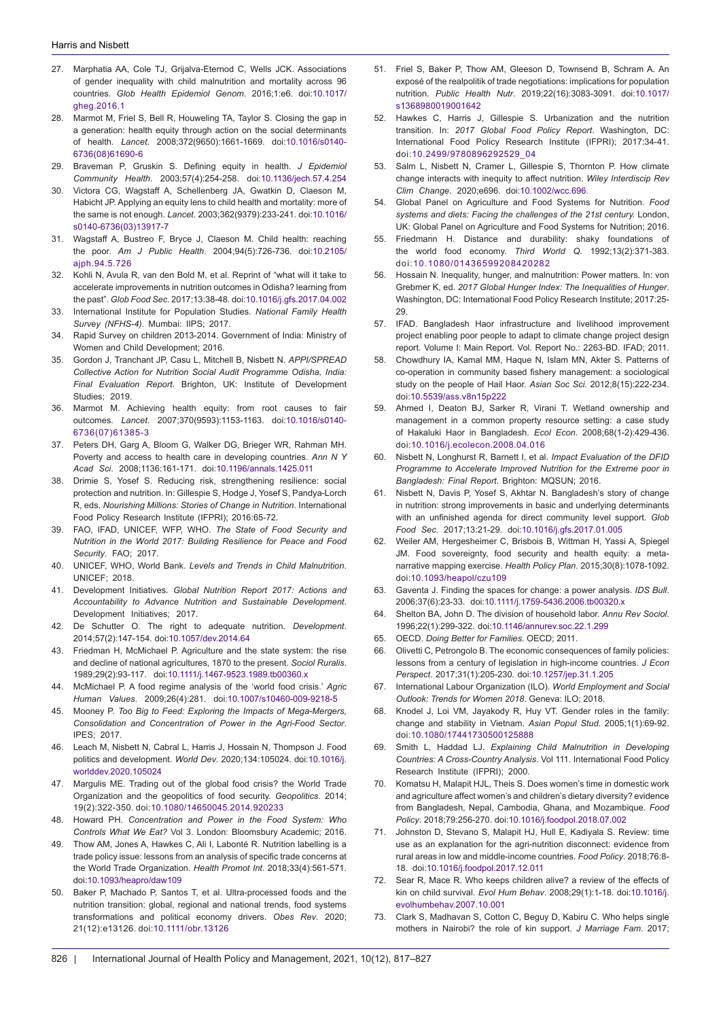- 27. Marphatia AA, Cole TJ, Grijalva-Eternod C, Wells JCK. Associations of gender inequality with child malnutrition and mortality across 96 countries. *Glob Health Epidemiol Genom*. 2016;1:e6. doi[:10.1017/](https://doi.org/10.1017/gheg.2016.1) [gheg.2016.1](https://doi.org/10.1017/gheg.2016.1)
- 28. Marmot M, Friel S, Bell R, Houweling TA, Taylor S. Closing the gap in a generation: health equity through action on the social determinants of health. *Lancet*. 2008;372(9650):1661-1669. doi[:10.1016/s0140-](https://doi.org/10.1016/s0140-6736(08)61690-6) [6736\(08\)61690-6](https://doi.org/10.1016/s0140-6736(08)61690-6)
- 29. Braveman P, Gruskin S. Defining equity in health. *J Epidemiol Community Health*. 2003;57(4):254-258. doi:[10.1136/jech.57.4.254](https://doi.org/10.1136/jech.57.4.254)
- 30. Victora CG, Wagstaff A, Schellenberg JA, Gwatkin D, Claeson M, Habicht JP. Applying an equity lens to child health and mortality: more of the same is not enough. *Lancet*. 2003;362(9379):233-241. doi[:10.1016/](https://doi.org/10.1016/s0140-6736(03)13917-7) [s0140-6736\(03\)13917-7](https://doi.org/10.1016/s0140-6736(03)13917-7)
- 31. Wagstaff A, Bustreo F, Bryce J, Claeson M. Child health: reaching the poor. *Am J Public Health*. 2004;94(5):726-736. doi[:10.2105/](https://doi.org/10.2105/ajph.94.5.726) [ajph.94.5.726](https://doi.org/10.2105/ajph.94.5.726)
- 32. Kohli N, Avula R, van den Bold M, et al. Reprint of "what will it take to accelerate improvements in nutrition outcomes in Odisha? learning from the past". *Glob Food Sec*. 2017;13:38-48. doi[:10.1016/j.gfs.2017.04.002](https://doi.org/10.1016/j.gfs.2017.04.002)
- 33. International Institute for Population Studies. *National Family Health Survey (NFHS-4).* Mumbai: IIPS; 2017.
- 34. Rapid Survey on children 2013-2014. Government of India: Ministry of Women and Child Development; 2016.
- 35. Gordon J, Tranchant JP, Casu L, Mitchell B, Nisbett N. *APPI/SPREAD Collective Action for Nutrition Social Audit Programme Odisha, India: Final Evaluation Report*. Brighton, UK: Institute of Development Studies; 2019.
- 36. Marmot M. Achieving health equity: from root causes to fair outcomes. *Lancet*. 2007;370(9593):1153-1163. doi[:10.1016/s0140-](https://doi.org/10.1016/s0140-6736(07)61385-3) [6736\(07\)61385-3](https://doi.org/10.1016/s0140-6736(07)61385-3)
- 37. Peters DH, Garg A, Bloom G, Walker DG, Brieger WR, Rahman MH. Poverty and access to health care in developing countries. *Ann N Y Acad Sci*. 2008;1136:161-171. doi:[10.1196/annals.1425.011](https://doi.org/10.1196/annals.1425.011)
- 38. Drimie S, Yosef S. Reducing risk, strengthening resilience: social protection and nutrition. In: Gillespie S, Hodge J, Yosef S, Pandya-Lorch R, eds. *Nourishing Millions: Stories of Change in Nutrition*. International Food Policy Research Institute (IFPRI); 2016:65-72.
- 39. FAO, IFAD, UNICEF, WFP, WHO. *The State of Food Security and Nutrition in the World 2017: Building Resilience for Peace and Food Security*. FAO; 2017.
- 40. UNICEF, WHO, World Bank. *Levels and Trends in Child Malnutrition*. UNICEF; 2018.
- 41. Development Initiatives. *Global Nutrition Report 2017: Actions and Accountability to Advance Nutrition and Sustainable Development*. Development Initiatives; 2017.
- 42. De Schutter O. The right to adequate nutrition. *Development*. 2014;57(2):147-154. doi[:10.1057/dev.2014.64](https://doi.org/10.1057/dev.2014.64)
- 43. Friedman H, McMichael P. Agriculture and the state system: the rise and decline of national agricultures, 1870 to the present. *Sociol Ruralis*. 1989;29(2):93-117. doi:[10.1111/j.1467-9523.1989.tb00360.x](https://doi.org/10.1111/j.1467-9523.1989.tb00360.x)
- 44. McMichael P. A food regime analysis of the 'world food crisis.' *Agric Human Values*. 2009;26(4):281. doi:[10.1007/s10460-009-9218-5](https://doi.org/10.1007/s10460-009-9218-5)
- 45. Mooney P. *Too Big to Feed: Exploring the Impacts of Mega-Mergers, Consolidation and Concentration of Power in the Agri-Food Sector*. IPES; 2017.
- 46. Leach M, Nisbett N, Cabral L, Harris J, Hossain N, Thompson J. Food politics and development. *World Dev*. 2020;134:105024. doi:[10.1016/j.](https://doi.org/10.1016/j.worlddev.2020.105024) [worlddev.2020.105024](https://doi.org/10.1016/j.worlddev.2020.105024)
- 47. Margulis ME. Trading out of the global food crisis? the World Trade Organization and the geopolitics of food security. *Geopolitics*. 2014; 19(2):322-350. doi:[10.1080/14650045.2014.920233](https://doi.org/10.1080/14650045.2014.920233)
- 48. Howard PH. *Concentration and Power in the Food System: Who Controls What We Eat?* Vol 3. London: Bloomsbury Academic; 2016.
- 49. Thow AM, Jones A, Hawkes C, Ali I, Labonté R. Nutrition labelling is a trade policy issue: lessons from an analysis of specific trade concerns at the World Trade Organization. *Health Promot Int*. 2018;33(4):561-571. doi[:10.1093/heapro/daw109](https://doi.org/10.1093/heapro/daw109)
- 50. Baker P, Machado P, Santos T, et al. Ultra-processed foods and the nutrition transition: global, regional and national trends, food systems transformations and political economy drivers. *Obes Rev*. 2020; 21(12):e13126. doi:[10.1111/obr.13126](https://doi.org/10.1111/obr.13126)
- 51. Friel S, Baker P, Thow AM, Gleeson D, Townsend B, Schram A. An exposé of the realpolitik of trade negotiations: implications for population nutrition. *Public Health Nutr*. 2019;22(16):3083-3091. doi:[10.1017/](https://doi.org/10.1017/s1368980019001642) [s1368980019001642](https://doi.org/10.1017/s1368980019001642)
- 52. Hawkes C, Harris J, Gillespie S. Urbanization and the nutrition transition. In: *2017 Global Food Policy Report*. Washington, DC: International Food Policy Research Institute (IFPRI); 2017:34-41. doi:[10.2499/9780896292529\\_04](https://doi.org/10.2499/9780896292529_04 )
- 53. Salm L, Nisbett N, Cramer L, Gillespie S, Thornton P. How climate change interacts with inequity to affect nutrition. *Wiley Interdiscip Rev Clim Change*. 2020;e696. doi:[10.1002/wcc.696](https://doi.org/10.1002/wcc.696).
- 54. Global Panel on Agriculture and Food Systems for Nutrition. *Food systems and diets: Facing the challenges of the 21st century.* London, UK: Global Panel on Agriculture and Food Systems for Nutrition; 2016.
- 55. Friedmann H. Distance and durability: shaky foundations of the world food economy. *Third World Q*. 1992;13(2):371-383. doi:[10.1080/01436599208420282](https://doi.org/10.1080/01436599208420282)
- 56. Hossain N. Inequality, hunger, and malnutrition: Power matters. In: von Grebmer K, ed. *2017 Global Hunger Index: The Inequalities of Hunger*. Washington, DC: International Food Policy Research Institute; 2017:25- 29.
- 57. IFAD. Bangladesh Haor infrastructure and livelihood improvement project enabling poor people to adapt to climate change project design report. Volume I: Main Report. Vol. Report No.: 2263-BD. IFAD; 2011.
- 58. Chowdhury IA, Kamal MM, Haque N, Islam MN, Akter S. Patterns of co-operation in community based fishery management: a sociological study on the people of Hail Haor. *Asian Soc Sci*. 2012;8(15):222-234. doi:[10.5539/ass.v8n15p222](https://doi.org/10.5539/ass.v8n15p222)
- 59. Ahmed I, Deaton BJ, Sarker R, Virani T. Wetland ownership and management in a common property resource setting: a case study of Hakaluki Haor in Bangladesh. *Ecol Econ*. 2008;68(1-2):429-436. doi:[10.1016/j.ecolecon.2008.04.016](https://doi.org/10.1016/j.ecolecon.2008.04.016)
- 60. Nisbett N, Longhurst R, Barnett I, et al. *Impact Evaluation of the DFID Programme to Accelerate Improved Nutrition for the Extreme poor in Bangladesh: Final Report*. Brighton: MQSUN; 2016.
- 61. Nisbett N, Davis P, Yosef S, Akhtar N. Bangladesh's story of change in nutrition: strong improvements in basic and underlying determinants with an unfinished agenda for direct community level support. *Glob Food Sec*. 2017;13:21-29. doi:[10.1016/j.gfs.2017.01.005](https://doi.org/10.1016/j.gfs.2017.01.005)
- 62. Weiler AM, Hergesheimer C, Brisbois B, Wittman H, Yassi A, Spiegel JM. Food sovereignty, food security and health equity: a metanarrative mapping exercise. *Health Policy Plan*. 2015;30(8):1078-1092. doi[:10.1093/heapol/czu109](https://doi.org/10.1093/heapol/czu109)
- 63. Gaventa J. Finding the spaces for change: a power analysis. *IDS Bull*. 2006;37(6):23-33. doi[:10.1111/j.1759-5436.2006.tb00320.x](https://doi.org/10.1111/j.1759-5436.2006.tb00320.x)
- 64. Shelton BA, John D. The division of household labor. *Annu Rev Sociol*. 1996;22(1):299-322. doi[:10.1146/annurev.soc.22.1.299](https://doi.org/10.1146/annurev.soc.22.1.299)
- 65. OECD. *Doing Better for Families*. OECD; 2011.
- 66. Olivetti C, Petrongolo B. The economic consequences of family policies: lessons from a century of legislation in high-income countries. *J Econ Perspect*. 2017;31(1):205-230. doi[:10.1257/jep.31.1.205](https://doi.org/10.1257/jep.31.1.205)
- 67. International Labour Organization (ILO). *World Employment and Social Outlook: Trends for Women 2018*. Geneva: ILO; 2018.
- 68. Knodel J, Loi VM, Jayakody R, Huy VT. Gender roles in the family: change and stability in Vietnam. *Asian Popul Stud*. 2005;1(1):69-92. doi[:10.1080/17441730500125888](https://doi.org/10.1080/17441730500125888)
- 69. Smith L, Haddad LJ. *Explaining Child Malnutrition in Developing Countries: A Cross-Country Analysis*. Vol 111. International Food Policy Research Institute (IFPRI); 2000.
- 70. Komatsu H, Malapit HJL, Theis S. Does women's time in domestic work and agriculture affect women's and children's dietary diversity? evidence from Bangladesh, Nepal, Cambodia, Ghana, and Mozambique. *Food Policy*. 2018;79:256-270. doi[:10.1016/j.foodpol.2018.07.002](https://doi.org/10.1016/j.foodpol.2018.07.002)
- 71. Johnston D, Stevano S, Malapit HJ, Hull E, Kadiyala S. Review: time use as an explanation for the agri-nutrition disconnect: evidence from rural areas in low and middle-income countries. *Food Policy*. 2018;76:8- 18. doi[:10.1016/j.foodpol.2017.12.011](https://doi.org/10.1016/j.foodpol.2017.12.011)
- 72. Sear R, Mace R. Who keeps children alive? a review of the effects of kin on child survival. *Evol Hum Behav*. 2008;29(1):1-18. doi[:10.1016/j.](https://doi.org/10.1016/j.evolhumbehav.2007.10.001) [evolhumbehav.2007.10.001](https://doi.org/10.1016/j.evolhumbehav.2007.10.001)
- 73. Clark S, Madhavan S, Cotton C, Beguy D, Kabiru C. Who helps single mothers in Nairobi? the role of kin support. *J Marriage Fam*. 2017;